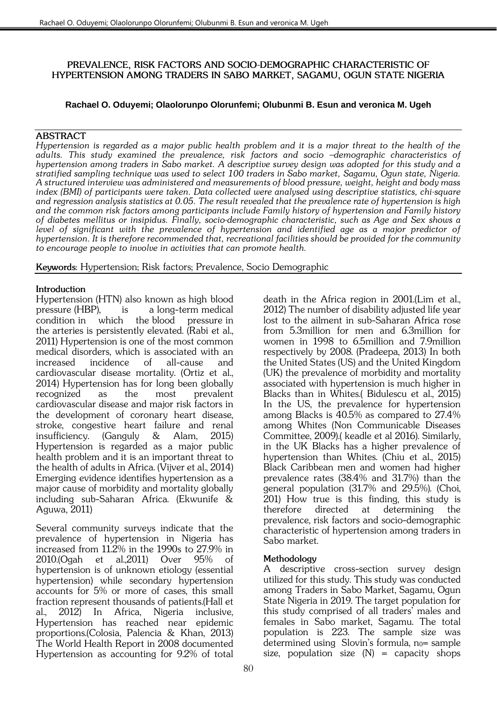## *PREVALENCE, RISK FACTORS AND SOCIO-DEMOGRAPHIC CHARACTERISTIC OF HYPERTENSION AMONG TRADERS IN SABO MARKET, SAGAMU, OGUN STATE NIGERIA*

# **Rachael O. Oduyemi; Olaolorunpo Olorunfemi; Olubunmi B. Esun and veronica M. Ugeh**

## *ABSTRACT*

*Hypertension is regarded as a major public health problem and it is a major threat to the health of the adults. This study examined the prevalence, risk factors and socio –demographic characteristics of hypertension among traders in Sabo market. A descriptive survey design was adopted for this study and a stratified sampling technique was used to select 100 traders in Sabo market, Sagamu, Ogun state, Nigeria. A structured interview was administered and measurements of blood pressure, weight, height and body mass index (BMI) of participants were taken. Data collected were analysed using descriptive statistics, chi-square and regression analysis statistics at 0.05. The result revealed that the prevalence rate of hypertension is high and the common risk factors among participants include Family history of hypertension and Family history of diabetes mellitus or insipidus. Finally, socio-demographic characteristic, such as Age and Sex shows a level of significant with the prevalence of hypertension and identified age as a major predictor of hypertension. It is therefore recommended that, recreational facilities should be provided for the community to encourage people to involve in activities that can promote health.*

*Keywords: Hypertension; Risk factors; Prevalence, Socio Demographic*

## *Introduction*

*Hypertension (HTN) also known as high blood pressure (HBP), is a [long-term](https://en.wikipedia.org/wiki/Chronic_(medicine)) [medical](https://en.wikipedia.org/wiki/Disease)  [condition](https://en.wikipedia.org/wiki/Disease) in which the [blood pressure](https://en.wikipedia.org/wiki/Blood_pressure) in the [arteries](https://en.wikipedia.org/wiki/Artery) is persistently elevated. (Rabi et al., 2011) Hypertension is one of the most common medical disorders, which is associated with an increased incidence of all-cause and cardiovascular disease mortality. (Ortiz et al., 2014) Hypertension has for long been globally recognized as the most prevalent cardiovascular disease and major risk factors in the development of coronary heart disease, stroke, congestive heart failure and renal insufficiency. (Ganguly & Alam, 2015) Hypertension is regarded as a major public health problem and it is an important threat to the health of adults in Africa. (Vijver et al., 2014) Emerging evidence identifies hypertension as a major cause of morbidity and mortality globally including sub-Saharan Africa. (Ekwunife & Aguwa, 2011)*

*Several community surveys indicate that the prevalence of hypertension in Nigeria has increased from 11.2% in the 1990s to 27.9% in 2010.(Ogah et al.,2011) Over 95% of hypertension is of unknown etiology (essential hypertension) while secondary hypertension accounts for 5% or more of cases, this small fraction represent thousands of patients.(Hall et al., 2012) In Africa, Nigeria inclusive, Hypertension has reached near epidemic proportions.(Colosia, Palencia & Khan, 2013) The World Health Report in 2008 documented Hypertension as accounting for 9.2% of total* 

*death in the Africa region in 2001.(Lim et al., 2012) The number of disability adjusted life year lost to the ailment in sub-Saharan Africa rose from 5.3million for men and 6.3million for women in 1998 to 6.5million and 7.9million respectively by 2008. (Pradeepa, 2013) In both the United States (US) and the United Kingdom (UK) the prevalence of morbidity and mortality associated with hypertension is much higher in Blacks than in Whites.( Bidulescu et al., 2015) In the US, the prevalence for hypertension among Blacks is 40.5% as compared to 27.4% among Whites (Non Communicable Diseases Committee, 2009).( keadle et al 2016). Similarly, in the UK Blacks has a higher prevalence of hypertension than Whites. (Chiu et al., 2015) Black Caribbean men and women had higher prevalence rates (38.4% and 31.7%) than the general population (31.7% and 29.5%). (Choi, 201) How true is this finding, this study is therefore directed at determining the prevalence, risk factors and socio-demographic characteristic of hypertension among traders in Sabo market.* 

# *Methodology*

*A descriptive cross-section survey design utilized for this study. This study was conducted among Traders in Sabo Market, Sagamu, Ogun State Nigeria in 2019. The target population for this study comprised of all traders' males and females in Sabo market, Sagamu. The total population is 223. The sample size was determined using Slovin's formula, n0= sample size, population size (N) = capacity shops*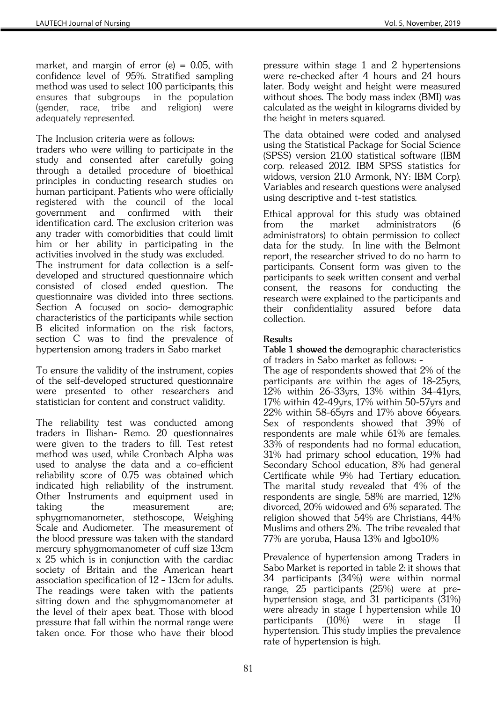*market, and margin of error (e) = 0.05, with confidence level of 95%. Stratified sampling method was used to select 100 participants; this ensures that subgroups in the population (gender, race, tribe and religion) were adequately represented.*

*The Inclusion criteria were as follows:* 

*traders who were willing to participate in the study and consented after carefully going through a detailed procedure of bioethical principles in conducting research studies on human participant. Patients who were officially registered with the council of the local government and confirmed with their identification card. The exclusion criterion was any trader with comorbidities that could limit him or her ability in participating in the activities involved in the study was excluded. The instrument for data collection is a selfdeveloped and structured questionnaire which consisted of closed ended question. The questionnaire was divided into three sections. Section A focused on socio- demographic characteristics of the participants while section B elicited information on the risk factors, section C was to find the prevalence of hypertension among traders in Sabo market*

*To ensure the validity of the instrument, copies of the self-developed structured questionnaire were presented to other researchers and statistician for content and construct validity.*

*The reliability test was conducted among traders in Ilishan- Remo. 20 questionnaires*  were given to the traders to fill. Test retest *method was used, while Cronbach Alpha was used to analyse the data and a co-efficient reliability score of 0.75 was obtained which indicated high reliability of the instrument. Other Instruments and equipment used in taking the measurement are; sphygmomanometer, stethoscope, Weighing Scale and Audiometer. The measurement of the blood pressure was taken with the standard mercury sphygmomanometer of cuff size 13cm x 25 which is in conjunction with the cardiac society of Britain and the American heart association specification of 12 – 13cm for adults. The readings were taken with the patients sitting down and the sphygmomanometer at the level of their apex beat. Those with blood pressure that fall within the normal range were taken once. For those who have their blood* 

*pressure within stage 1 and 2 hypertensions were re-checked after 4 hours and 24 hours later. Body weight and height were measured without shoes. The body mass index (BMI) was calculated as the weight in kilograms divided by the height in meters squared.* 

*The data obtained were coded and analysed using the Statistical Package for Social Science (SPSS) version 21.00 statistical software (IBM corp. released 2012. IBM SPSS statistics for widows, version 21.0 Armonk, NY: IBM Corp). Variables and research questions were analysed using descriptive and t-test statistics.*

*Ethical approval for this study was obtained from the market administrators (6 administrators) to obtain permission to collect data for the study. In line with the Belmont report, the researcher strived to do no harm to participants. Consent form was given to the participants to seek written consent and verbal consent, the reasons for conducting the research were explained to the participants and their confidentiality assured before data collection.*

# *Results*

*Table 1 showed the demographic characteristics of traders in Sabo market as follows: -*

*The age of respondents showed that 2% of the participants are within the ages of 18-25yrs, 12% within 26-33yrs, 13% within 34-41yrs, 17% within 42-49yrs, 17% within 50-57yrs and 22% within 58-65yrs and 17% above 66years. Sex of respondents showed that 39% of respondents are male while 61% are females. 33% of respondents had no formal education, 31% had primary school education, 19% had Secondary School education, 8% had general Certificate while 9% had Tertiary education. The marital study revealed that 4% of the respondents are single, 58% are married, 12% divorced, 20% widowed and 6% separated. The religion showed that 54% are Christians, 44% Muslims and others 2%. The tribe revealed that 77% are yoruba, Hausa 13% and Igbo10%*

*Prevalence of hypertension among Traders in Sabo Market is reported in table 2: it shows that 34 participants (34%) were within normal range, 25 participants (25%) were at prehypertension stage, and 31 participants (31%) were already in stage I hypertension while 10 participants (10%) were in stage II hypertension. This study implies the prevalence rate of hypertension is high.*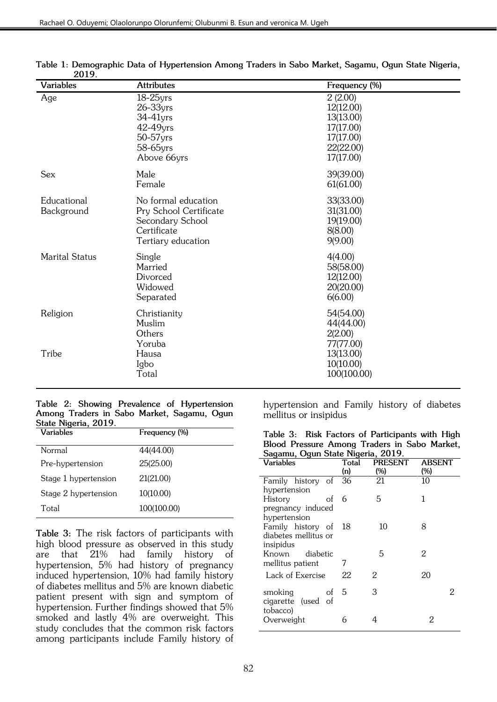| ,,,,,<br><b>Variables</b> | <b>Attributes</b>                                                                                      | Frequency (%)                                                                         |
|---------------------------|--------------------------------------------------------------------------------------------------------|---------------------------------------------------------------------------------------|
| Age                       | $18-25$ yrs<br>$26 - 33$ yrs<br>34-41yrs<br>42-49yrs<br>50-57yrs<br>58-65yrs<br>Above 66yrs            | 2(2.00)<br>12(12.00)<br>13(13.00)<br>17(17.00)<br>17(17.00)<br>22(22.00)<br>17(17.00) |
| <b>Sex</b>                | Male<br>Female                                                                                         | 39(39.00)<br>61(61.00)                                                                |
| Educational<br>Background | No formal education<br>Pry School Certificate<br>Secondary School<br>Certificate<br>Tertiary education | 33(33.00)<br>31(31.00)<br>19(19.00)<br>8(8.00)<br>9(9.00)                             |
| <b>Marital Status</b>     | Single<br>Married<br>Divorced<br>Widowed<br>Separated                                                  | 4(4.00)<br>58(58.00)<br>12(12.00)<br>20(20.00)<br>6(6.00)                             |
| Religion                  | Christianity<br>Muslim<br>Others<br>Yoruba                                                             | 54(54.00)<br>44(44.00)<br>2(2.00)<br>77(77.00)                                        |
| Tribe                     | Hausa<br>Igbo<br>Total                                                                                 | 13(13.00)<br>10(10.00)<br>100(100.00)                                                 |

*Table 1: Demographic Data of Hypertension Among Traders in Sabo Market, Sagamu, Ogun State Nigeria, 2019.* 

#### *Table 2: Showing Prevalence of Hypertension Among Traders in Sabo Market, Sagamu, Ogun State Nigeria, 2019.*

| Variables            | Frequency (%) |
|----------------------|---------------|
| Normal               | 44(44.00)     |
| Pre-hypertension     | 25(25.00)     |
| Stage 1 hypertension | 21(21.00)     |
| Stage 2 hypertension | 10(10.00)     |
| Total                | 100(100.00)   |

*Table 3: The risk factors of participants with high blood pressure as observed in this study are that 21% had family history of hypertension, 5% had history of pregnancy induced hypertension, 10% had family history of diabetes mellitus and 5% are known diabetic patient present with sign and symptom of hypertension. Further findings showed that 5% smoked and lastly 4% are overweight. This study concludes that the common risk factors among participants include Family history of* 

*hypertension and Family history of diabetes mellitus or insipidus*

|  | Table 3: Risk Factors of Participants with High |  |  |  |
|--|-------------------------------------------------|--|--|--|
|  | Blood Pressure Among Traders in Sabo Market,    |  |  |  |
|  | Sagamu, Ogun State Nigeria, 2019.               |  |  |  |

| <b>Variables</b>     | Total<br>(n) | <b>PRESENT</b><br>(%) | ABSENT<br>(%) |
|----------------------|--------------|-----------------------|---------------|
| Family history of    | 36           | 21                    | 10            |
| hypertension         |              |                       |               |
| History<br>of 6      |              | 5                     | 1             |
| pregnancy induced    |              |                       |               |
| hypertension         |              |                       |               |
| Family history of    | 18           | 10                    | 8             |
| diabetes mellitus or |              |                       |               |
| insipidus            |              |                       |               |
| Known diabetic       |              | 5                     | 2             |
| mellitus patient     |              |                       |               |
| Lack of Exercise     | 22           | 2                     | 20            |
|                      |              |                       |               |
| smoking<br>of        | 5            | 3                     | 2             |
| cigarette (used of   |              |                       |               |
| tobacco)             |              |                       |               |
| Overweight           | 6            | 4                     | 2             |
|                      |              |                       |               |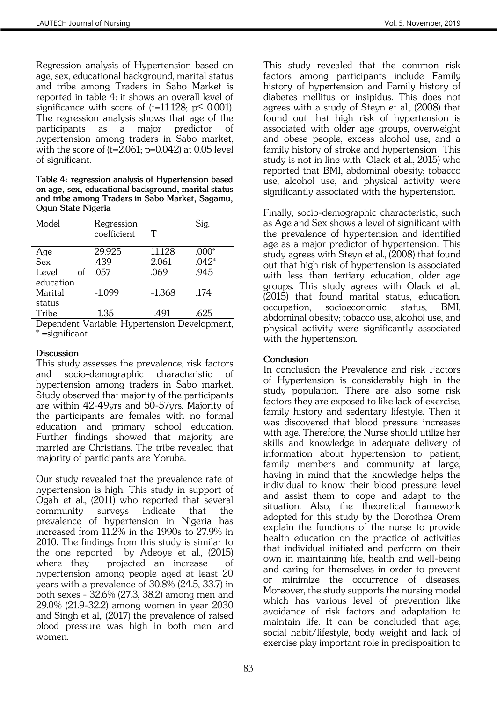*Regression analysis of Hypertension based on age, sex, educational background, marital status and tribe among Traders in Sabo Market is reported in table 4: it shows an overall level of significance with score of (t=11.128; p≤ 0.001). The regression analysis shows that age of the participants as a major predictor of hypertension among traders in Sabo market, with the score of (t=2.061; p=0.042) at 0.05 level of significant.*

*Table 4: regression analysis of Hypertension based on age, sex, educational background, marital status and tribe among Traders in Sabo Market, Sagamu, Ogun State Nigeria* 

| Model       | Regression<br>coefficient | T        | Sig.    |
|-------------|---------------------------|----------|---------|
| Age         | 29.925                    | 11.128   | $.000*$ |
| <b>Sex</b>  | .439                      | 2.061    | $.042*$ |
| Level<br>οf | .057                      | .069     | .945    |
| education   |                           |          |         |
| Marital     | $-1.099$                  | $-1.368$ | .174    |
| status      |                           |          |         |
| Tribe       | $-1.35$                   | $-491$   | .625    |

*Dependent Variable: Hypertension Development, \* =significant*

## *Discussion*

*This study assesses the prevalence, risk factors and socio-demographic characteristic of hypertension among traders in Sabo market. Study observed that majority of the participants are within 42-49yrs and 50-57yrs. Majority of the participants are females with no formal education and primary school education. Further findings showed that majority are married are Christians. The tribe revealed that majority of participants are Yoruba.* 

*Our study revealed that the prevalence rate of hypertension is high. This study in support of Ogah et al., (2011) who reported that several community surveys indicate that the prevalence of hypertension in Nigeria has increased from 11.2% in the 1990s to 27.9% in 2010. The findings from this study is similar to the one reported by Adeoye et al., (2015) where they projected an increase of hypertension among people aged at least 20 years with a prevalence of 30.8% (24.5, 33.7) in both sexes - 32.6% (27.3, 38.2) among men and 29.0% (21.9-32.2) among women in year 2030 and Singh et al,. (2017) the prevalence of raised blood pressure was high in both men and women.*

*This study revealed that the common risk factors among participants include Family history of hypertension and Family history of diabetes mellitus or insipidus. This does not agrees with a study of Steyn et al., (2008) that found out that high risk of hypertension is associated with older age groups, overweight and obese people, excess alcohol use, and a family history of stroke and hypertension This study is not in line with Olack et al., 2015) who reported that BMI, abdominal obesity; tobacco use, alcohol use, and physical activity were significantly associated with the hypertension.*

*Finally, socio-demographic characteristic, such as Age and Sex shows a level of significant with the prevalence of hypertension and identified age as a major predictor of hypertension. This study agrees with Steyn et al., (2008) that found out that high risk of hypertension is associated with less than tertiary education, older age groups. This study agrees with Olack et al., (2015) that found marital status, education, occupation, socioeconomic status, BMI, abdominal obesity; tobacco use, alcohol use, and physical activity were significantly associated with the hypertension.*

# *Conclusion*

*In conclusion the Prevalence and risk Factors of Hypertension is considerably high in the study population. There are also some risk factors they are exposed to like lack of exercise,*  family history and sedentary lifestyle. Then it *was discovered that blood pressure increases with age. Therefore, the Nurse should utilize her skills and knowledge in adequate delivery of information about hypertension to patient, family members and community at large, having in mind that the knowledge helps the individual to know their blood pressure level and assist them to cope and adapt to the situation. Also, the theoretical framework adopted for this study by the Dorothea Orem explain the functions of the nurse to provide health education on the practice of activities that individual initiated and perform on their own in maintaining life, health and well-being and caring for themselves in order to prevent or minimize the occurrence of diseases. Moreover, the study supports the nursing model which has various level of prevention like avoidance of risk factors and adaptation to maintain life. It can be concluded that age, social habit/lifestyle, body weight and lack of exercise play important role in predisposition to*